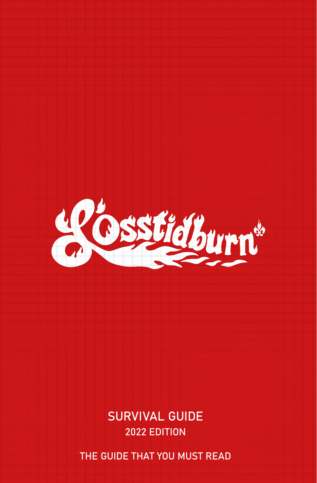

SURVIVAL GUIDE 2022 EDITION

THE GUIDE THAT YOU MUST READ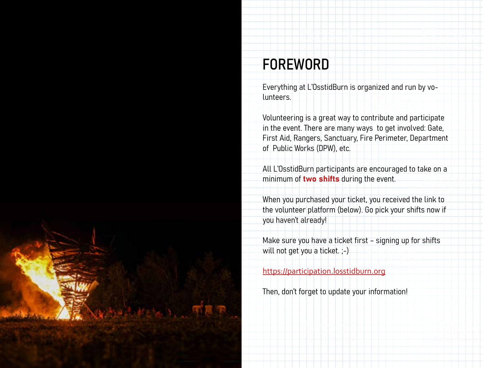

# FOREWORD

Everything at L'OsstidBurn is organized and run by volunteers.

Volunteering is a great way to contribute and participate in the event. There are many ways to get involved: Gate, First Aid, Rangers, Sanctuary, Fire Perimeter, Department of Public Works (DPW), etc.

All L'OsstidBurn participants are encouraged to take on a minimum of two shifts during the event.

When you purchased your ticket, you received the link to the volunteer platform (below). Go pick your shifts now if you haven't already!

Make sure you have a ticket first – signing up for shifts will not get you a ticket. ;-)

<https://participation.losstidburn.org>

Then, don't forget to update your information!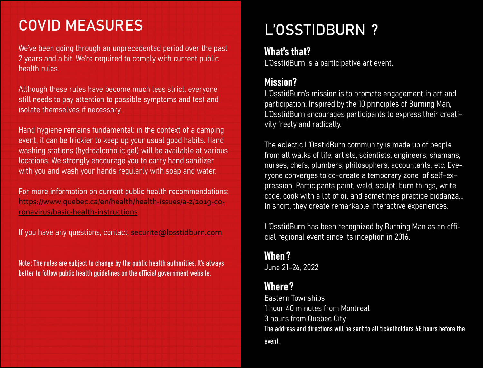# COVID MEASURES

We've been going through an unprecedented period over the past 2 years and a bit. We're required to comply with current public health rules.

Although these rules have become much less strict, everyone still needs to pay attention to possible symptoms and test and isolate themselves if necessary.

Hand hygiene remains fundamental: in the context of a camping event, it can be trickier to keep up your usual good habits. Hand washing stations (hydroalcoholic gel) will be available at various locations. We strongly encourage you to carry hand sanitizer with you and wash your hands regularly with soap and water.

For more information on current public health recommendations: https://www.quebec.ca/en/health/health-issues/a-z/2019-coronavirus/basic-health-instructions

If you have any questions, contact: [securite@losstidburn.com](mailto:securite%40losstidburn.com?subject=)

Note: The rules are subject to change by the public health authorities. It's always better to follow public health guidelines on the official government website.

# L'OSSTIDBURN ?

## What's that?

L'OsstidBurn is a participative art event.

## Mission?

L'OsstidBurn's mission is to promote engagement in art and participation. Inspired by the 10 principles of Burning Man, L'OsstidBurn encourages participants to express their creativity freely and radically.

The eclectic L'OsstidBurn community is made up of people from all walks of life: artists, scientists, engineers, shamans, nurses, chefs, plumbers, philosophers, accountants, etc. Everyone converges to co-create a temporary zone of self-expression. Participants paint, weld, sculpt, burn things, write code, cook with a lot of oil and sometimes practice biodanza... In short, they create remarkable interactive experiences.

L'OsstidBurn has been recognized by Burning Man as an official regional event since its inception in 2016.

# When ?

June 21–26, 2022

## Where?

Eastern Townships 1 hour 40 minutes from Montreal 3 hours from Quebec City The address and directions will be sent to all ticketholders 48 hours before the event.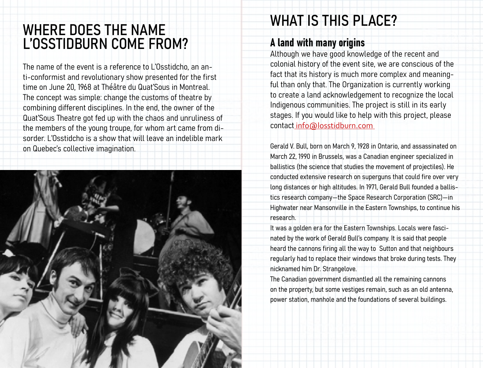# WHERE DOES THE NAME L'OSSTIDBURN COME FROM?

The name of the event is a reference to L'Osstidcho, an anti-conformist and revolutionary show presented for the first time on June 20, 1968 at Théâtre du Quat'Sous in Montreal. The concept was simple: change the customs of theatre by combining different disciplines. In the end, the owner of the Quat'Sous Theatre got fed up with the chaos and unruliness of the members of the young troupe, for whom art came from disorder. L'Osstidcho is a show that will leave an indelible mark on Quebec's collective imagination.



# WHAT IS THIS PLACE?

### A land with many origins

Although we have good knowledge of the recent and colonial history of the event site, we are conscious of the fact that its history is much more complex and meaningful than only that. The Organization is currently working to create a land acknowledgement to recognize the local Indigenous communities. The project is still in its early stages. If you would like to help with this project, please contact info@losstidburn.com

Gerald V. Bull, born on March 9, 1928 in Ontario, and assassinated on March 22, 1990 in Brussels, was a Canadian engineer specialized in ballistics (the science that studies the movement of projectiles). He conducted extensive research on superguns that could fire over very long distances or high altitudes. In 1971, Gerald Bull founded a ballistics research company—the Space Research Corporation (SRC)—in Highwater near Mansonville in the Eastern Townships, to continue his research.

It was a golden era for the Eastern Townships. Locals were fascinated by the work of Gerald Bull's company. It is said that people heard the cannons firing all the way to Sutton and that neighbours regularly had to replace their windows that broke during tests. They nicknamed him Dr. Strangelove.

The Canadian government dismantled all the remaining cannons on the property, but some vestiges remain, such as an old antenna, power station, manhole and the foundations of several buildings.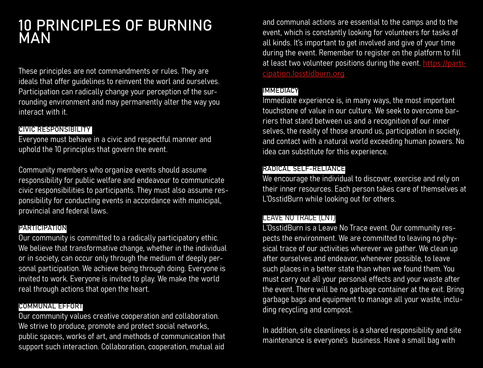## 10 PRINCIPLES OF BURNING MAN

These principles are not commandments or rules. They are ideals that offer guidelines to reinvent the worl and ourselves. Participation can radically change your perception of the surrounding environment and may permanently alter the way you interact with it.

#### CIVIC RESPONSIBILITY

Everyone must behave in a civic and respectful manner and uphold the 10 principles that govern the event.

Community members who organize events should assume responsibility for public welfare and endeavour to communicate civic responsibilities to participants. They must also assume responsibility for conducting events in accordance with municipal, provincial and federal laws.

#### PARTICIPATION

Our community is committed to a radically participatory ethic. We believe that transformative change, whether in the individual or in society, can occur only through the medium of deeply personal participation. We achieve being through doing. Everyone is invited to work. Everyone is invited to play. We make the world real through actions that open the heart.

#### COMMUNAL EFFORT

Our community values creative cooperation and collaboration. We strive to produce, promote and protect social networks, public spaces, works of art, and methods of communication that support such interaction. Collaboration, cooperation, mutual aid

and communal actions are essential to the camps and to the event, which is constantly looking for volunteers for tasks of all kinds. It's important to get involved and give of your time during the event. Remember to register on the platform to fill at least two volunteer positions during the event. [https://parti](https://participation.losstidburn.org)[cipation.losstidburn.org](https://participation.losstidburn.org)

#### IMMEDIACY

Immediate experience is, in many ways, the most important touchstone of value in our culture. We seek to overcome barriers that stand between us and a recognition of our inner selves, the reality of those around us, participation in society, and contact with a natural world exceeding human powers. No idea can substitute for this experience.

#### RADICAL SELF-RELIANCE

We encourage the individual to discover, exercise and rely on their inner resources. Each person takes care of themselves at L'OsstidBurn while looking out for others.

#### LEAVE NO TRACE (LNT)

L'OsstidBurn is a Leave No Trace event. Our community respects the environment. We are committed to leaving no physical trace of our activities wherever we gather. We clean up after ourselves and endeavor, whenever possible, to leave such places in a better state than when we found them. You must carry out all your personal effects and your waste after the event. There will be no garbage container at the exit. Bring garbage bags and equipment to manage all your waste, including recycling and compost.

In addition, site cleanliness is a shared responsibility and site maintenance is everyone's business. Have a small bag with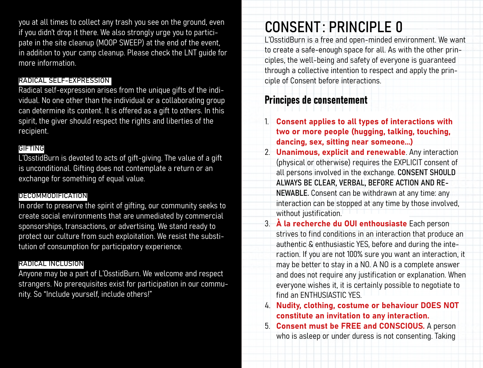you at all times to collect any trash you see on the ground, even if you didn't drop it there. We also strongly urge you to participate in the site cleanup (MOOP SWEEP) at the end of the event, in addition to your camp cleanup. Please check the LNT guide for more information.

#### RADICAL SELF-EXPRESSION

Radical self-expression arises from the unique gifts of the individual. No one other than the individual or a collaborating group can determine its content. It is offered as a gift to others. In this spirit, the giver should respect the rights and liberties of the recipient.

#### GIFTING

L'OsstidBurn is devoted to acts of gift-giving. The value of a gift is unconditional. Gifting does not contemplate a return or an exchange for something of equal value.

#### DÉCOMMODIFICATION

In order to preserve the spirit of gifting, our community seeks to create social environments that are unmediated by commercial sponsorships, transactions, or advertising. We stand ready to protect our culture from such exploitation. We resist the substitution of consumption for participatory experience.

#### RADICAL INCLUSION

Anyone may be a part of L'OsstidBurn. We welcome and respect strangers. No prerequisites exist for participation in our community. So "Include yourself, include others!"

# CONSENT : PRINCIPLE 0

L'OsstidBurn is a free and open-minded environment. We want to create a safe-enough space for all. As with the other principles, the well-being and safety of everyone is guaranteed through a collective intention to respect and apply the principle of Consent before interactions.

## Principes de consentement

- 1. Consent applies to all types of interactions with two or more people (hugging, talking, touching, dancing, sex, sitting near someone...)
- 2. **Unanimous, explicit and renewable**. Any interaction (physical or otherwise) requires the EXPLICIT consent of all persons involved in the exchange. CONSENT SHOULD ALWAYS BE CLEAR, VERBAL, BEFORE ACTION AND RE-NEWABLE. Consent can be withdrawn at any time: any interaction can be stopped at any time by those involved, without justification.
- 3. À la recherche du OUI enthousiaste Each person strives to find conditions in an interaction that produce an authentic & enthusiastic YES, before and during the interaction. If you are not 100% sure you want an interaction, it may be better to stay in a NO. A NO is a complete answer and does not require any justification or explanation. When everyone wishes it, it is certainly possible to negotiate to find an ENTHUSIASTIC YES.
- 4. Nudity, clothing, costume or behaviour DOES NOT constitute an invitation to any interaction.
- 5. Consent must be FREE and CONSCIOUS. A person who is asleep or under duress is not consenting. Taking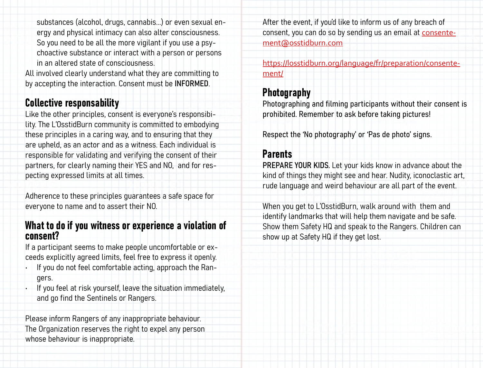substances (alcohol, drugs, cannabis...) or even sexual energy and physical intimacy can also alter consciousness. So you need to be all the more vigilant if you use a psychoactive substance or interact with a person or persons in an altered state of consciousness.

All involved clearly understand what they are committing to by accepting the interaction. Consent must be INFORMED.

### Collective responsability

Like the other principles, consent is everyone's responsibility. The L'OsstidBurn community is committed to embodying these principles in a caring way, and to ensuring that they are upheld, as an actor and as a witness. Each individual is responsible for validating and verifying the consent of their partners, for clearly naming their YES and NO, and for respecting expressed limits at all times.

Adherence to these principles guarantees a safe space for everyone to name and to assert their NO.

#### What to do if you witness or experience a violation of consent?

If a participant seems to make people uncomfortable or exceeds explicitly agreed limits, feel free to express it openly.

- If you do not feel comfortable acting, approach the Rangers.
- If you feel at risk yourself, leave the situation immediately, and go find the Sentinels or Rangers.

Please inform Rangers of any inappropriate behaviour. The Organization reserves the right to expel any person whose behaviour is inappropriate.

After the event, if you'd like to inform us of any breach of consent, you can do so by sending us an email at consentement@osstidburn.com

[https://losstidburn.org/language/fr/preparation/consente](https://losstidburn.org/language/fr/preparation/consentement/)[ment/](https://losstidburn.org/language/fr/preparation/consentement/)

## Photography

Photographing and filming participants without their consent is prohibited. Remember to ask before taking pictures!

Respect the 'No photography' or 'Pas de photo' signs.

### Parents

PREPARE YOUR KIDS. Let your kids know in advance about the kind of things they might see and hear. Nudity, iconoclastic art, rude language and weird behaviour are all part of the event.

When you get to L'OsstidBurn, walk around with them and identify landmarks that will help them navigate and be safe. Show them Safety HQ and speak to the Rangers. Children can show up at Safety HQ if they get lost.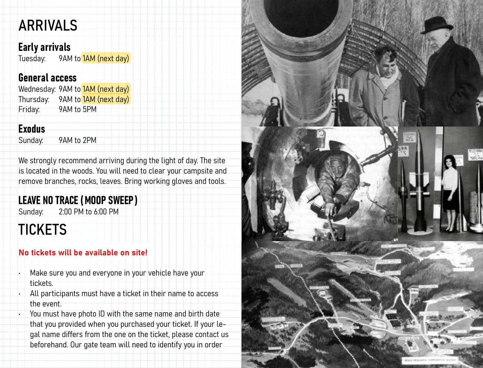# ARRIVALS

### Early arrivals

Tuesday: 9AM to 1AM (next day)

### General access

Wednesday: 9AM to 1AM (next day) Thursday: 9AM to 1AM (next day) Friday: 9AM to 5PM

## Exodus

Sunday: 9AM to 2PM

We strongly recommend arriving during the light of day. The site is located in the woods. You will need to clear your campsite and remove branches, rocks, leaves. Bring working gloves and tools.

## LEAVE NO TRACE (MOOP SWEEP )

Sunday: 2:00 PM to 6:00 PM

# **TICKETS**

### No tickets will be available on site!

- Make sure you and everyone in your vehicle have your tickets.
- All participants must have a ticket in their name to access the event.
- You must have photo ID with the same name and birth date that you provided when you purchased your ticket. If your legal name differs from the one on the ticket, please contact us beforehand. Our gate team will need to identify you in order

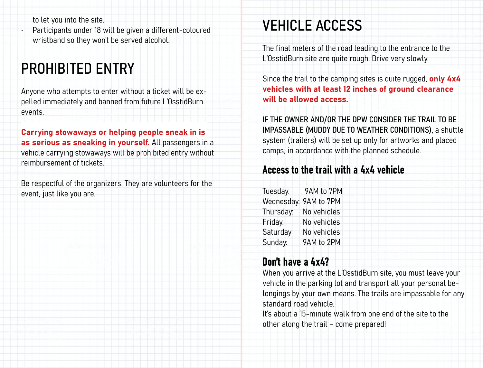to let you into the site. • Participants under 18 will be given a different-coloured wristband so they won't be served alcohol.

# PROHIBITED ENTRY

Anyone who attempts to enter without a ticket will be expelled immediately and banned from future L'OsstidBurn events.

Carrying stowaways or helping people sneak in is as serious as sneaking in yourself. All passengers in a vehicle carrying stowaways will be prohibited entry without reimbursement of tickets.

Be respectful of the organizers. They are volunteers for the event, just like you are.

# VEHICLE ACCESS

The final meters of the road leading to the entrance to the L'OsstidBurn site are quite rough. Drive very slowly.

Since the trail to the camping sites is quite rugged, only 4x4 vehicles with at least 12 inches of ground clearance will be allowed access.

IF THE OWNER AND/OR THE DPW CONSIDER THE TRAIL TO BE IMPASSABLE (MUDDY DUE TO WEATHER CONDITIONS), a shuttle system (trailers) will be set up only for artworks and placed camps, in accordance with the planned schedule.

### Access to the trail with a 4x4 vehicle

Tuesday: 9AM to 7PM Wednesday: 9AM to 7PM Thursday: No vehicles Friday: No vehicles Saturday No vehicles Sunday: 9AM to 2PM

### Don't have a 4x4?

When you arrive at the L'OsstidBurn site, you must leave your vehicle in the parking lot and transport all your personal belongings by your own means. The trails are impassable for any standard road vehicle.

It's about a 15-minute walk from one end of the site to the other along the trail – come prepared!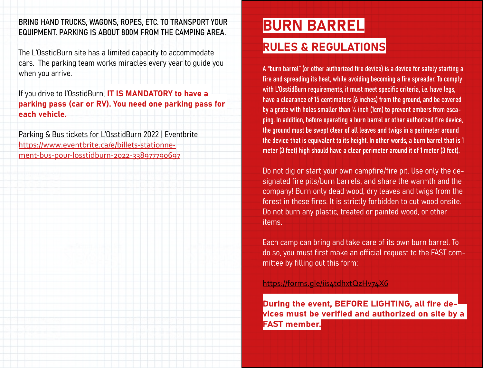#### BRING HAND TRUCKS, WAGONS, ROPES, ETC. TO TRANSPORT YOUR EQUIPMENT. PARKING IS ABOUT 800M FROM THE CAMPING AREA.

The L'OsstidBurn site has a limited capacity to accommodate cars. The parking team works miracles every year to guide you when you arrive.

If you drive to l'OsstidBurn, IT IS MANDATORY to have a parking pass (car or RV). You need one parking pass for each vehicle.

Parking & Bus tickets for L'OsstidBurn 2022 | Eventbrite [https://www.eventbrite.ca/e/billets-stationne](https://www.eventbrite.ca/e/billets-stationnement-bus-pour-losstidburn-2022-338977790697)[ment-bus-pour-losstidburn-2022-338977790697](https://www.eventbrite.ca/e/billets-stationnement-bus-pour-losstidburn-2022-338977790697)

# BURN BARREL

## RULES & REGULATIONS

A "burn barrel" (or other authorized fire device) is a device for safely starting a fire and spreading its heat, while avoiding becoming a fire spreader. To comply with L'OsstidBurn requirements, it must meet specific criteria, i.e. have legs, have a clearance of 15 centimeters (6 inches) from the ground, and be covered by a grate with holes smaller than ½ inch (1cm) to prevent embers from escaping. In addition, before operating a burn barrel or other authorized fire device, the ground must be swept clear of all leaves and twigs in a perimeter around the device that is equivalent to its height. In other words, a burn barrel that is 1 meter (3 feet) high should have a clear perimeter around it of 1 meter (3 feet).

Do not dig or start your own campfire/fire pit. Use only the designated fire pits/burn barrels, and share the warmth and the company! Burn only dead wood, dry leaves and twigs from the forest in these fires. It is strictly forbidden to cut wood onsite. Do not burn any plastic, treated or painted wood, or other items.

Each camp can bring and take care of its own burn barrel. To do so, you must first make an official request to the FAST committee by filling out this form:

#### https://forms.gle/iis4tdhxtQzHv74X6

During the event, BEFORE LIGHTING, all fire devices must be verified and authorized on site by a FAST member.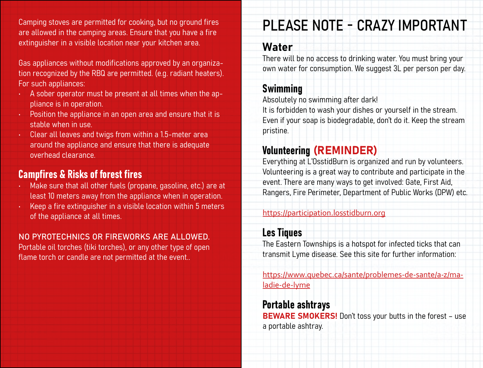Camping stoves are permitted for cooking, but no ground fires are allowed in the camping areas. Ensure that you have a fire extinguisher in a visible location near your kitchen area.

Gas appliances without modifications approved by an organization recognized by the RBQ are permitted. (e.g. radiant heaters). For such appliances:

- A sober operator must be present at all times when the appliance is in operation.
- Position the appliance in an open area and ensure that it is stable when in use.
- Clear all leaves and twigs from within a 1.5-meter area around the appliance and ensure that there is adequate overhead clearance.

### Campfires & Risks of forest fires

- Make sure that all other fuels (propane, gasoline, etc.) are at least 10 meters away from the appliance when in operation.
- Keep a fire extinguisher in a visible location within 5 meters of the appliance at all times.

#### NO PYROTECHNICS OR FIREWORKS ARE ALLOWED.

Portable oil torches (tiki torches), or any other type of open flame torch or candle are not permitted at the event..

# PLEASE NOTE - CRAZY IMPORTANT

#### Water

There will be no access to drinking water. You must bring your own water for consumption. We suggest 3L per person per day.

### Swimming

Absolutely no swimming after dark!

It is forbidden to wash your dishes or yourself in the stream. Even if your soap is biodegradable, don't do it. Keep the stream pristine.

## Volunteering (REMINDER)

Everything at L'OsstidBurn is organized and run by volunteers. Volunteering is a great way to contribute and participate in the event. There are many ways to get involved: Gate, First Aid, Rangers, Fire Perimeter, Department of Public Works (DPW) etc.

#### <https://participation.losstidburn.org>

### Les Tiques

The Eastern Townships is a hotspot for infected ticks that can transmit Lyme disease. See this site for further information:

[https://www.quebec.ca/sante/problemes-de-sante/a-z/ma](https://www.quebec.ca/sante/problemes-de-sante/a-z/maladie-de-lyme)[ladie-de-lyme](https://www.quebec.ca/sante/problemes-de-sante/a-z/maladie-de-lyme)

#### Portable ashtrays

BEWARE SMOKERS! Don't toss your butts in the forest - use a portable ashtray.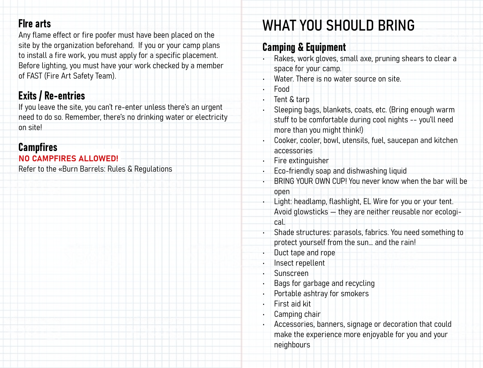## FIre arts

Any flame effect or fire poofer must have been placed on the site by the organization beforehand. If you or your camp plans to install a fire work, you must apply for a specific placement. Before lighting, you must have your work checked by a member of FAST (Fire Art Safety Team).

## Exits / Re-entries

If you leave the site, you can't re-enter unless there's an urgent need to do so. Remember, there's no drinking water or electricity on site!

#### **Campfires** NO CAMPFIRES ALLOWED!

Refer to the «Burn Barrels: Rules & Regulations

# WHAT YOU SHOULD BRING

## Camping & Equipment

- Rakes, work gloves, small axe, pruning shears to clear a space for your camp.
- Water. There is no water source on site.
- Food
- Tent & tarp
- Sleeping bags, blankets, coats, etc. (Bring enough warm stuff to be comfortable during cool nights -- you'll need more than you might think!)
- Cooker, cooler, bowl, utensils, fuel, saucepan and kitchen accessories
- Fire extinguisher
- Eco-friendly soap and dishwashing liquid
- BRING YOUR OWN CUP! You never know when the bar will be open
- Light: headlamp, flashlight, EL Wire for you or your tent. Avoid glowsticks — they are neither reusable nor ecological.
- Shade structures: parasols, fabrics. You need something to protect yourself from the sun… and the rain!
- Duct tape and rope
- Insect repellent
- Sunscreen
- Bags for garbage and recycling
- Portable ashtray for smokers
- First aid kit
- Camping chair
- Accessories, banners, signage or decoration that could make the experience more enjoyable for you and your neighbours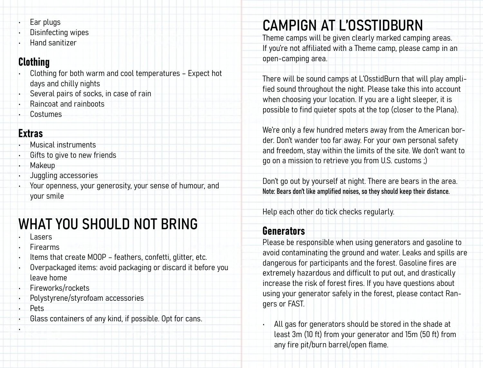- Ear plugs
- Disinfecting wipes
- Hand sanitizer

## Clothing

- Clothing for both warm and cool temperatures Expect hot days and chilly nights
- Several pairs of socks, in case of rain
- Raincoat and rainboots
- Costumes

### Extras

- Musical instruments
- Gifts to give to new friends
- Makeup
- Juggling accessories
- Your openness, your generosity, your sense of humour, and your smile

# WHAT YOU SHOULD NOT BRING

- **Lasers**
- **Firearms**
- Items that create MOOP feathers, confetti, glitter, etc.
- Overpackaged items: avoid packaging or discard it before you leave home
- Fireworks/rockets
- Polystyrene/styrofoam accessories
- Pets

•

• Glass containers of any kind, if possible. Opt for cans.

# CAMPIGN AT L'OSSTIDBURN

Theme camps will be given clearly marked camping areas. If you're not affiliated with a Theme camp, please camp in an open-camping area.

There will be sound camps at L'OsstidBurn that will play amplified sound throughout the night. Please take this into account when choosing your location. If you are a light sleeper, it is possible to find quieter spots at the top (closer to the Plana).

We're only a few hundred meters away from the American border. Don't wander too far away. For your own personal safety and freedom, stay within the limits of the site. We don't want to go on a mission to retrieve you from U.S. customs ;)

Don't go out by yourself at night. There are bears in the area. Note: Bears don't like amplified noises, so they should keep their distance.

Help each other do tick checks regularly.

## Generators

Please be responsible when using generators and gasoline to avoid contaminating the ground and water. Leaks and spills are dangerous for participants and the forest. Gasoline fires are extremely hazardous and difficult to put out, and drastically increase the risk of forest fires. If you have questions about using your generator safely in the forest, please contact Rangers or FAST.

All gas for generators should be stored in the shade at least 3m (10 ft) from your generator and 15m (50 ft) from any fire pit/burn barrel/open flame.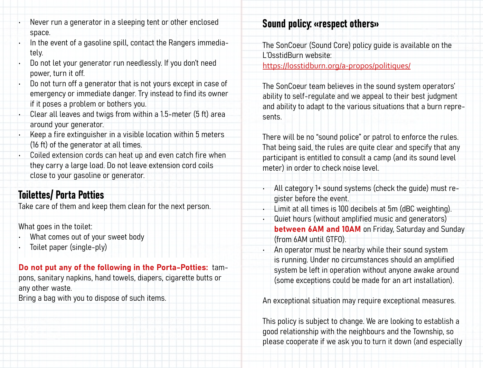- Never run a generator in a sleeping tent or other enclosed space.
- In the event of a gasoline spill, contact the Rangers immediately.
- Do not let your generator run needlessly. If you don't need power, turn it off.
- Do not turn off a generator that is not yours except in case of emergency or immediate danger. Try instead to find its owner if it poses a problem or bothers you.
- Clear all leaves and twigs from within a 1.5-meter (5 ft) area around your generator.
- Keep a fire extinguisher in a visible location within 5 meters (16 ft) of the generator at all times.
- Coiled extension cords can heat up and even catch fire when they carry a large load. Do not leave extension cord coils close to your gasoline or generator.

## Toilettes/ Porta Potties

Take care of them and keep them clean for the next person.

What goes in the toilet:

- What comes out of your sweet body
- Toilet paper (single-ply)

#### Do not put any of the following in the Porta-Potties: tam-

pons, sanitary napkins, hand towels, diapers, cigarette butts or any other waste.

Bring a bag with you to dispose of such items.

## Sound policy: «respect others»

The SonCoeur (Sound Core) policy guide is available on the L'OsstidBurn website: [https://losstidburn.org/a-propos/politiques/](https://losstidburn.org/a-propos/politiques/ )

The SonCoeur team believes in the sound system operators' ability to self-regulate and we appeal to their best judgment and ability to adapt to the various situations that a burn represents.

There will be no "sound police" or patrol to enforce the rules. That being said, the rules are quite clear and specify that any participant is entitled to consult a camp (and its sound level meter) in order to check noise level.

- All category 1+ sound systems (check the guide) must register before the event.
- Limit at all times is 100 decibels at 5m (dBC weighting).
- Quiet hours (without amplified music and generators) between 6AM and 10AM on Friday, Saturday and Sunday (from 6AM until GTFO).
- An operator must be nearby while their sound system is running. Under no circumstances should an amplified system be left in operation without anyone awake around (some exceptions could be made for an art installation).

An exceptional situation may require exceptional measures.

This policy is subject to change. We are looking to establish a good relationship with the neighbours and the Township, so please cooperate if we ask you to turn it down (and especially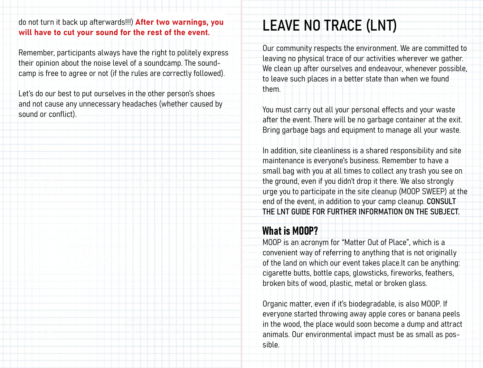#### do not turn it back up afterwards!!!) After two warnings, you will have to cut your sound for the rest of the event.

Remember, participants always have the right to politely express their opinion about the noise level of a soundcamp. The soundcamp is free to agree or not (if the rules are correctly followed).

Let's do our best to put ourselves in the other person's shoes and not cause any unnecessary headaches (whether caused by sound or conflict).

# LEAVE NO TRACE (LNT)

Our community respects the environment. We are committed to leaving no physical trace of our activities wherever we gather. We clean up after ourselves and endeavour, whenever possible, to leave such places in a better state than when we found them.

You must carry out all your personal effects and your waste after the event. There will be no garbage container at the exit. Bring garbage bags and equipment to manage all your waste.

In addition, site cleanliness is a shared responsibility and site maintenance is everyone's business. Remember to have a small bag with you at all times to collect any trash you see on the ground, even if you didn't drop it there. We also strongly urge you to participate in the site cleanup (MOOP SWEEP) at the end of the event, in addition to your camp cleanup. CONSULT THE LNT GUIDE FOR FURTHER INFORMATION ON THE SUBJECT.

### What is MOOP?

MOOP is an acronym for "Matter Out of Place", which is a convenient way of referring to anything that is not originally of the land on which our event takes place.It can be anything: cigarette butts, bottle caps, glowsticks, fireworks, feathers, broken bits of wood, plastic, metal or broken glass.

Organic matter, even if it's biodegradable, is also MOOP. If everyone started throwing away apple cores or banana peels in the wood, the place would soon become a dump and attract animals. Our environmental impact must be as small as possible.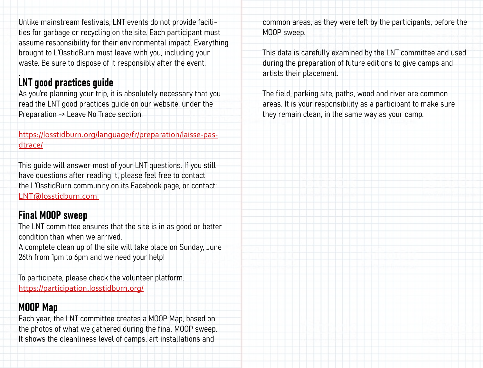Unlike mainstream festivals, LNT events do not provide facilities for garbage or recycling on the site. Each participant must assume responsibility for their environmental impact. Everything brought to L'OsstidBurn must leave with you, including your waste. Be sure to dispose of it responsibly after the event.

#### . LNT good practices guide

As you're planning your trip, it is absolutely necessary that you read the LNT good practices guide on our website, under the Preparation -> Leave No Trace section.

[https://losstidburn.org/language/fr/preparation/laisse-pas](https://losstidburn.org/language/fr/preparation/laisse-pas-dtrace/)[dtrace/](https://losstidburn.org/language/fr/preparation/laisse-pas-dtrace/)

This guide will answer most of your LNT questions. If you still have questions after reading it, please feel free to contact the L'OsstidBurn community on its Facebook page, or contact: [LNT@losstidburn.com](mailto:LNT%40losstidburn.com?subject=Question%20LNT) 

### Final MOOP sweep

The LNT committee ensures that the site is in as good or better condition than when we arrived.

A complete clean up of the site will take place on Sunday, June 26th from 1pm to 6pm and we need your help!

To participate, please check the volunteer platform. <https://participation.losstidburn.org/>

### [M](https://volunteer.losstidburn.com/ )OOP Map

Each year, the LNT committee creates a MOOP Map, based on the photos of what we gathered during the final MOOP sweep. It shows the cleanliness level of camps, art installations and

common areas, as they were left by the participants, before the MOOP sweep.

This data is carefully examined by the LNT committee and used during the preparation of future editions to give camps and artists their placement.

The field, parking site, paths, wood and river are common areas. It is your responsibility as a participant to make sure they remain clean, in the same way as your camp.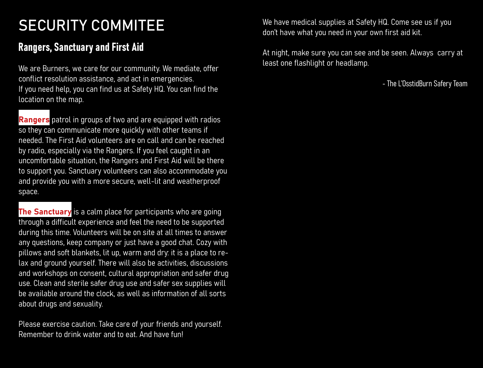# SECURITY COMMITEE

## Rangers, Sanctuary and First Aid

We are Burners, we care for our community. We mediate, offer conflict resolution assistance, and act in emergencies. If you need help, you can find us at Safety HQ. You can find the location on the map.

Rangers patrol in groups of two and are equipped with radios so they can communicate more quickly with other teams if needed. The First Aid volunteers are on call and can be reached by radio, especially via the Rangers. If you feel caught in an uncomfortable situation, the Rangers and First Aid will be there to support you. Sanctuary volunteers can also accommodate you and provide you with a more secure, well-lit and weatherproof space.

The Sanctuary is a calm place for participants who are going through a difficult experience and feel the need to be supported during this time. Volunteers will be on site at all times to answer any questions, keep company or just have a good chat. Cozy with pillows and soft blankets, lit up, warm and dry: it is a place to relax and ground yourself. There will also be activities, discussions and workshops on consent, cultural appropriation and safer drug use. Clean and sterile safer drug use and safer sex supplies will be available around the clock, as well as information of all sorts about drugs and sexuality.

Please exercise caution. Take care of your friends and yourself. Remember to drink water and to eat. And have fun!

We have medical supplies at Safety HQ. Come see us if you don't have what you need in your own first aid kit.

At night, make sure you can see and be seen. Always carry at least one flashlight or headlamp.

- The L'OsstidBurn Safery Team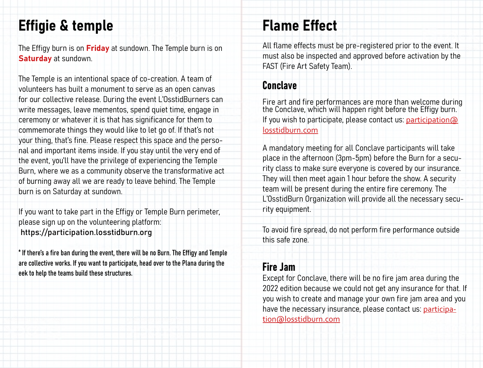# Effigie & temple

The Effigy burn is on Friday at sundown. The Temple burn is on Saturday at sundown.

The Temple is an intentional space of co-creation. A team of volunteers has built a monument to serve as an open canvas for our collective release. During the event L'OsstidBurners can write messages, leave mementos, spend quiet time, engage in ceremony or whatever it is that has significance for them to commemorate things they would like to let go of. If that's not your thing, that's fine. Please respect this space and the personal and important items inside. If you stay until the very end of the event, you'll have the privilege of experiencing the Temple Burn, where we as a community observe the transformative act of burning away all we are ready to leave behind. The Temple burn is on Saturday at sundown.

If you want to take part in the Effigy or Temple Burn perimeter, please sign up on the volunteering platform: <https://participation.losstidburn.org>

\* If there's a fire ban during the event, there will be no Burn. The Effigy and Temple are collective works. If you want to participate, head over to the Plana during the eek to help the teams build these structures.

# Flame Effect

All flame effects must be pre-registered prior to the event. It must also be inspected and approved before activation by the FAST (Fire Art Safety Team).

### Conclave

Fire art and fire performances are more than welcome during the Conclave, which will happen right before the Effigy burn. If you wish to participate, please contact us: [participation@](mailto:participation%40losstidburn.com%20?subject=CONCLAVE%20%3A%20Participation) [losstidburn.com](mailto:participation%40losstidburn.com%20?subject=CONCLAVE%20%3A%20Participation)

A mandatory meeting for all Conclave participants will take place in the afternoon (3pm-5pm) before the Burn for a security class to make sure everyone is covered by our insurance. They will then meet again 1 hour before the show. A security team will be present during the entire fire ceremony. The L'OsstidBurn Organization will provide all the necessary security equipment.

To avoid fire spread, do not perform fire performance outside this safe zone.

### Fire Jam

Except for Conclave, there will be no fire jam area during the 2022 edition because we could not get any insurance for that. If you wish to create and manage your own fire jam area and you have the necessary insurance, please contact us: [participa](mailto:participation%40losstidburn.com?subject=JAM%20%20%3A%20Participation)[tion@losstidburn.com](mailto:participation%40losstidburn.com?subject=JAM%20%20%3A%20Participation)